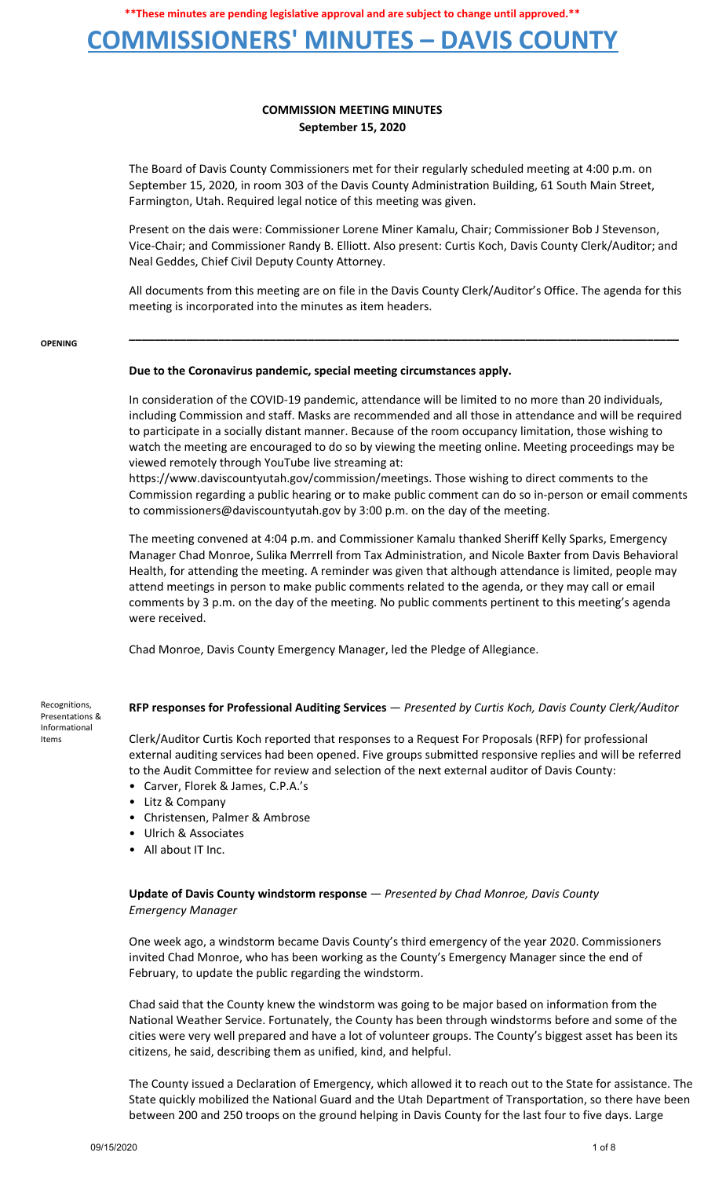## **COMMISSIONERS' MINUTES – DAVIS COUNTY**

## **COMMISSION MEETING MINUTES September 15, 2020**

The Board of Davis County Commissioners met for their regularly scheduled meeting at 4:00 p.m. on September 15, 2020, in room 303 of the Davis County Administration Building, 61 South Main Street, Farmington, Utah. Required legal notice of this meeting was given.

Present on the dais were: Commissioner Lorene Miner Kamalu, Chair; Commissioner Bob J Stevenson, Vice-Chair; and Commissioner Randy B. Elliott. Also present: Curtis Koch, Davis County Clerk/Auditor; and Neal Geddes, Chief Civil Deputy County Attorney.

All documents from this meeting are on file in the Davis County Clerk/Auditor's Office. The agenda for this meeting is incorporated into the minutes as item headers.

**\_\_\_\_\_\_\_\_\_\_\_\_\_\_\_\_\_\_\_\_\_\_\_\_\_\_\_\_\_\_\_\_\_\_\_\_\_\_\_\_\_\_\_\_\_\_\_\_\_\_\_\_\_\_\_\_\_\_\_\_\_\_\_\_\_\_\_\_\_\_\_\_\_\_\_\_\_\_\_\_\_\_\_\_\_\_**

#### **OPENING**

### **Due to the Coronavirus pandemic, special meeting circumstances apply.**

In consideration of the COVID-19 pandemic, attendance will be limited to no more than 20 individuals, including Commission and staff. Masks are recommended and all those in attendance and will be required to participate in a socially distant manner. Because of the room occupancy limitation, those wishing to watch the meeting are encouraged to do so by viewing the meeting online. Meeting proceedings may be viewed remotely through YouTube live streaming at:

https://www.daviscountyutah.gov/commission/meetings. Those wishing to direct comments to the Commission regarding a public hearing or to make public comment can do so in-person or email comments to commissioners@daviscountyutah.gov by 3:00 p.m. on the day of the meeting.

The meeting convened at 4:04 p.m. and Commissioner Kamalu thanked Sheriff Kelly Sparks, Emergency Manager Chad Monroe, Sulika Merrrell from Tax Administration, and Nicole Baxter from Davis Behavioral Health, for attending the meeting. A reminder was given that although attendance is limited, people may attend meetings in person to make public comments related to the agenda, or they may call or email comments by 3 p.m. on the day of the meeting. No public comments pertinent to this meeting's agenda were received.

Chad Monroe, Davis County Emergency Manager, led the Pledge of Allegiance.

Recognitions, Presentations & Informational Items

### **RFP responses for Professional Auditing Services** — *Presented by Curtis Koch, Davis County Clerk/Auditor*

Clerk/Auditor Curtis Koch reported that responses to a Request For Proposals (RFP) for professional external auditing services had been opened. Five groups submitted responsive replies and will be referred to the Audit Committee for review and selection of the next external auditor of Davis County:

- Carver, Florek & James, C.P.A.'s
- Litz & Company
- Christensen, Palmer & Ambrose
- Ulrich & Associates
- All about IT Inc.

### **Update of Davis County windstorm response** — *Presented by Chad Monroe, Davis County Emergency Manager*

One week ago, a windstorm became Davis County's third emergency of the year 2020. Commissioners invited Chad Monroe, who has been working as the County's Emergency Manager since the end of February, to update the public regarding the windstorm.

Chad said that the County knew the windstorm was going to be major based on information from the National Weather Service. Fortunately, the County has been through windstorms before and some of the cities were very well prepared and have a lot of volunteer groups. The County's biggest asset has been its citizens, he said, describing them as unified, kind, and helpful.

The County issued a Declaration of Emergency, which allowed it to reach out to the State for assistance. The State quickly mobilized the National Guard and the Utah Department of Transportation, so there have been between 200 and 250 troops on the ground helping in Davis County for the last four to five days. Large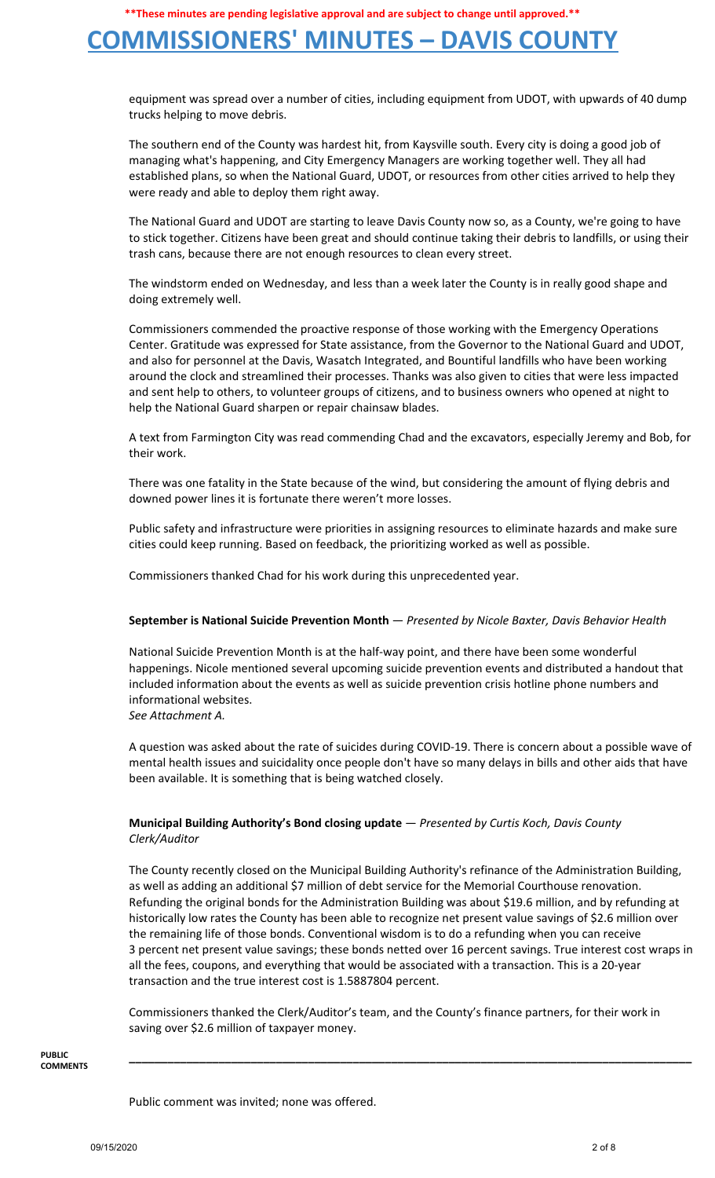## **COMMISSIONERS' MINUTES – DAVIS COUNTY**

equipment was spread over a number of cities, including equipment from UDOT, with upwards of 40 dump trucks helping to move debris.

The southern end of the County was hardest hit, from Kaysville south. Every city is doing a good job of managing what's happening, and City Emergency Managers are working together well. They all had established plans, so when the National Guard, UDOT, or resources from other cities arrived to help they were ready and able to deploy them right away.

The National Guard and UDOT are starting to leave Davis County now so, as a County, we're going to have to stick together. Citizens have been great and should continue taking their debris to landfills, or using their trash cans, because there are not enough resources to clean every street.

The windstorm ended on Wednesday, and less than a week later the County is in really good shape and doing extremely well.

Commissioners commended the proactive response of those working with the Emergency Operations Center. Gratitude was expressed for State assistance, from the Governor to the National Guard and UDOT, and also for personnel at the Davis, Wasatch Integrated, and Bountiful landfills who have been working around the clock and streamlined their processes. Thanks was also given to cities that were less impacted and sent help to others, to volunteer groups of citizens, and to business owners who opened at night to help the National Guard sharpen or repair chainsaw blades.

A text from Farmington City was read commending Chad and the excavators, especially Jeremy and Bob, for their work.

There was one fatality in the State because of the wind, but considering the amount of flying debris and downed power lines it is fortunate there weren't more losses.

Public safety and infrastructure were priorities in assigning resources to eliminate hazards and make sure cities could keep running. Based on feedback, the prioritizing worked as well as possible.

Commissioners thanked Chad for his work during this unprecedented year.

### **September is National Suicide Prevention Month** — *Presented by Nicole Baxter, Davis Behavior Health*

National Suicide Prevention Month is at the half-way point, and there have been some wonderful happenings. Nicole mentioned several upcoming suicide prevention events and distributed a handout that included information about the events as well as suicide prevention crisis hotline phone numbers and informational websites.

*See Attachment A.*

A question was asked about the rate of suicides during COVID-19. There is concern about a possible wave of mental health issues and suicidality once people don't have so many delays in bills and other aids that have been available. It is something that is being watched closely.

### **Municipal Building Authority's Bond closing update** — *Presented by Curtis Koch, Davis County Clerk/Auditor*

The County recently closed on the Municipal Building Authority's refinance of the Administration Building, as well as adding an additional \$7 million of debt service for the Memorial Courthouse renovation. Refunding the original bonds for the Administration Building was about \$19.6 million, and by refunding at historically low rates the County has been able to recognize net present value savings of \$2.6 million over the remaining life of those bonds. Conventional wisdom is to do a refunding when you can receive 3 percent net present value savings; these bonds netted over 16 percent savings. True interest cost wraps in all the fees, coupons, and everything that would be associated with a transaction. This is a 20-year transaction and the true interest cost is 1.5887804 percent.

Commissioners thanked the Clerk/Auditor's team, and the County's finance partners, for their work in saving over \$2.6 million of taxpayer money.

**\_\_\_\_\_\_\_\_\_\_\_\_\_\_\_\_\_\_\_\_\_\_\_\_\_\_\_\_\_\_\_\_\_\_\_\_\_\_\_\_\_\_\_\_\_\_\_\_\_\_\_\_\_\_\_\_\_\_\_\_\_\_\_\_\_\_\_\_\_\_\_\_\_\_\_\_\_\_\_\_\_\_\_\_\_\_\_\_**

**PUBLIC COMMENTS**

Public comment was invited; none was offered.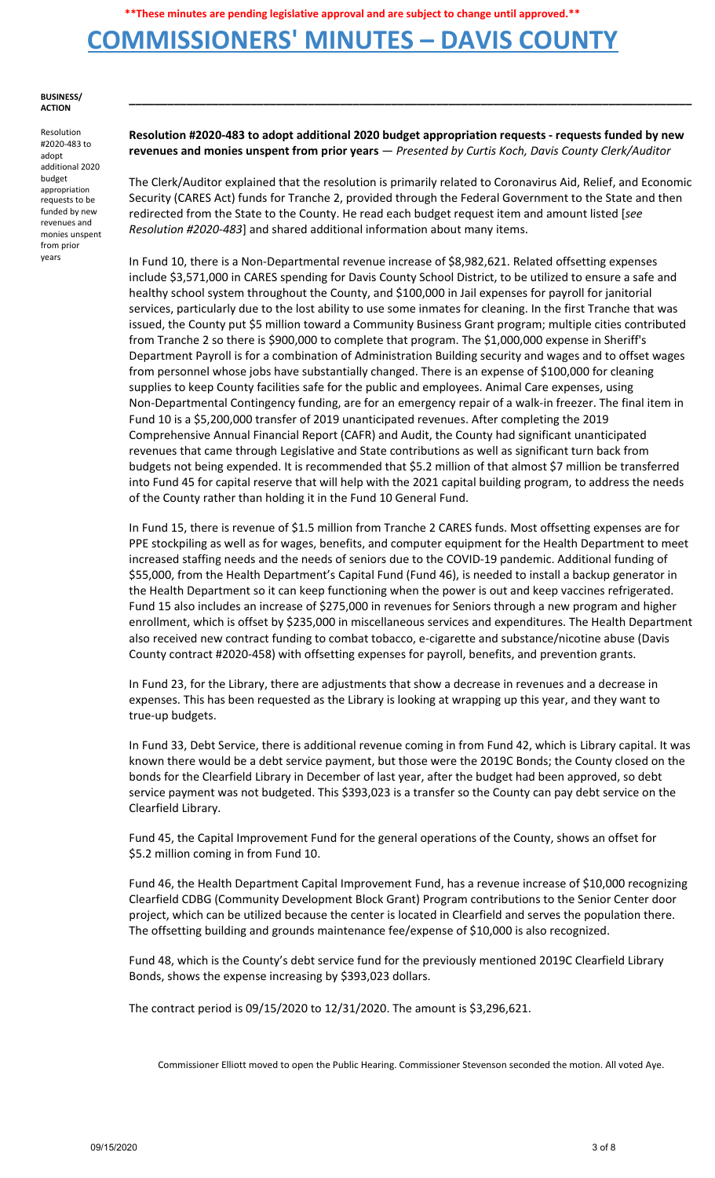## **COMMISSIONERS' MINUTES – DAVIS COUNTY**

#### **BUSINESS/ ACTION**

Resolution #2020-483 to adopt additional 2020 budget appropriation requests to be funded by new revenues and monies unspent from prior years

**Resolution #2020-483 to adopt additional 2020 budget appropriation requests - requests funded by new revenues and monies unspent from prior years** — *Presented by Curtis Koch, Davis County Clerk/Auditor*

**\_\_\_\_\_\_\_\_\_\_\_\_\_\_\_\_\_\_\_\_\_\_\_\_\_\_\_\_\_\_\_\_\_\_\_\_\_\_\_\_\_\_\_\_\_\_\_\_\_\_\_\_\_\_\_\_\_\_\_\_\_\_\_\_\_\_\_\_\_\_\_\_\_\_\_\_\_\_\_\_\_\_\_\_\_\_\_\_**

The Clerk/Auditor explained that the resolution is primarily related to Coronavirus Aid, Relief, and Economic Security (CARES Act) funds for Tranche 2, provided through the Federal Government to the State and then redirected from the State to the County. He read each budget request item and amount listed [*see Resolution #2020-483*] and shared additional information about many items.

In Fund 10, there is a Non-Departmental revenue increase of \$8,982,621. Related offsetting expenses include \$3,571,000 in CARES spending for Davis County School District, to be utilized to ensure a safe and healthy school system throughout the County, and \$100,000 in Jail expenses for payroll for janitorial services, particularly due to the lost ability to use some inmates for cleaning. In the first Tranche that was issued, the County put \$5 million toward a Community Business Grant program; multiple cities contributed from Tranche 2 so there is \$900,000 to complete that program. The \$1,000,000 expense in Sheriff's Department Payroll is for a combination of Administration Building security and wages and to offset wages from personnel whose jobs have substantially changed. There is an expense of \$100,000 for cleaning supplies to keep County facilities safe for the public and employees. Animal Care expenses, using Non-Departmental Contingency funding, are for an emergency repair of a walk-in freezer. The final item in Fund 10 is a \$5,200,000 transfer of 2019 unanticipated revenues. After completing the 2019 Comprehensive Annual Financial Report (CAFR) and Audit, the County had significant unanticipated revenues that came through Legislative and State contributions as well as significant turn back from budgets not being expended. It is recommended that \$5.2 million of that almost \$7 million be transferred into Fund 45 for capital reserve that will help with the 2021 capital building program, to address the needs of the County rather than holding it in the Fund 10 General Fund.

In Fund 15, there is revenue of \$1.5 million from Tranche 2 CARES funds. Most offsetting expenses are for PPE stockpiling as well as for wages, benefits, and computer equipment for the Health Department to meet increased staffing needs and the needs of seniors due to the COVID-19 pandemic. Additional funding of \$55,000, from the Health Department's Capital Fund (Fund 46), is needed to install a backup generator in the Health Department so it can keep functioning when the power is out and keep vaccines refrigerated. Fund 15 also includes an increase of \$275,000 in revenues for Seniors through a new program and higher enrollment, which is offset by \$235,000 in miscellaneous services and expenditures. The Health Department also received new contract funding to combat tobacco, e-cigarette and substance/nicotine abuse (Davis County contract #2020-458) with offsetting expenses for payroll, benefits, and prevention grants.

In Fund 23, for the Library, there are adjustments that show a decrease in revenues and a decrease in expenses. This has been requested as the Library is looking at wrapping up this year, and they want to true-up budgets.

In Fund 33, Debt Service, there is additional revenue coming in from Fund 42, which is Library capital. It was known there would be a debt service payment, but those were the 2019C Bonds; the County closed on the bonds for the Clearfield Library in December of last year, after the budget had been approved, so debt service payment was not budgeted. This \$393,023 is a transfer so the County can pay debt service on the Clearfield Library.

Fund 45, the Capital Improvement Fund for the general operations of the County, shows an offset for \$5.2 million coming in from Fund 10.

Fund 46, the Health Department Capital Improvement Fund, has a revenue increase of \$10,000 recognizing Clearfield CDBG (Community Development Block Grant) Program contributions to the Senior Center door project, which can be utilized because the center is located in Clearfield and serves the population there. The offsetting building and grounds maintenance fee/expense of \$10,000 is also recognized.

Fund 48, which is the County's debt service fund for the previously mentioned 2019C Clearfield Library Bonds, shows the expense increasing by \$393,023 dollars.

The contract period is 09/15/2020 to 12/31/2020. The amount is \$3,296,621.

Commissioner Elliott moved to open the Public Hearing. Commissioner Stevenson seconded the motion. All voted Aye.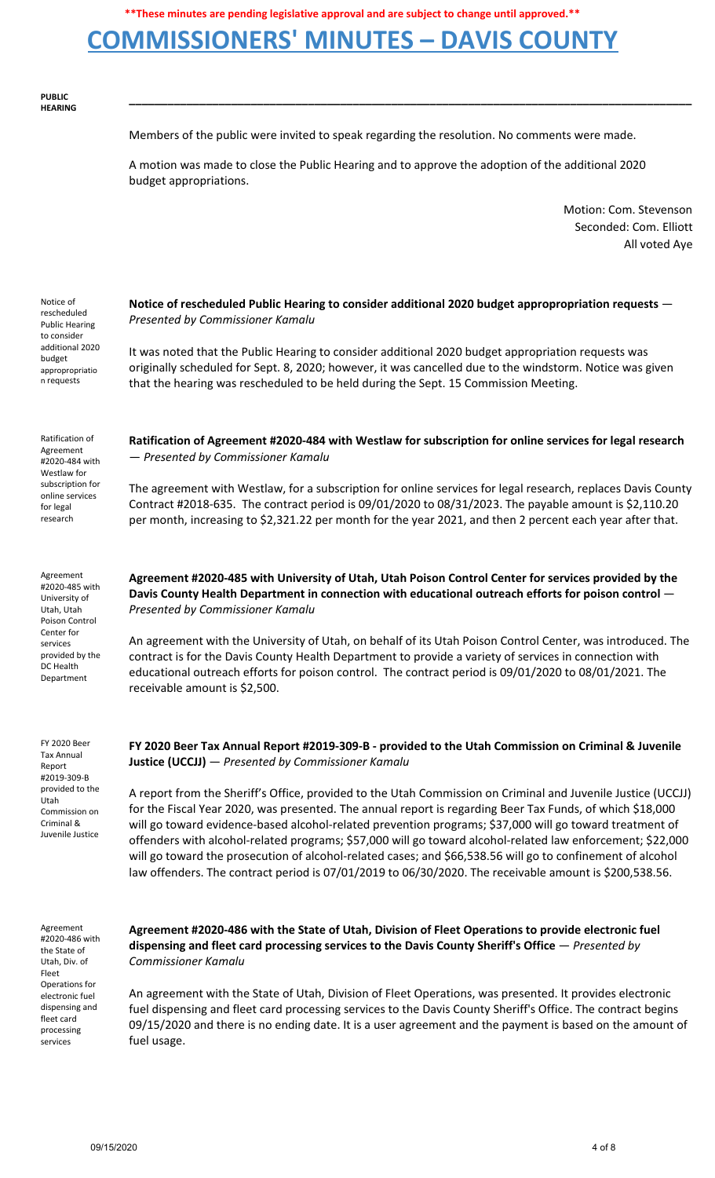## **COMMISSIONERS' MINUTES – DAVIS COUNTY**

**PUBLIC HEARING**

Members of the public were invited to speak regarding the resolution. No comments were made.

**\_\_\_\_\_\_\_\_\_\_\_\_\_\_\_\_\_\_\_\_\_\_\_\_\_\_\_\_\_\_\_\_\_\_\_\_\_\_\_\_\_\_\_\_\_\_\_\_\_\_\_\_\_\_\_\_\_\_\_\_\_\_\_\_\_\_\_\_\_\_\_\_\_\_\_\_\_\_\_\_\_\_\_\_\_\_\_\_**

A motion was made to close the Public Hearing and to approve the adoption of the additional 2020 budget appropriations.

> Motion: Com. Stevenson Seconded: Com. Elliott All voted Aye

| Notice of<br>rescheduled<br><b>Public Hearing</b><br>to consider<br>additional 2020<br>budget<br>appropropriatio<br>n requests                       | Notice of rescheduled Public Hearing to consider additional 2020 budget appropropriation requests -<br>Presented by Commissioner Kamalu<br>It was noted that the Public Hearing to consider additional 2020 budget appropriation requests was<br>originally scheduled for Sept. 8, 2020; however, it was cancelled due to the windstorm. Notice was given<br>that the hearing was rescheduled to be held during the Sept. 15 Commission Meeting.                                                                                                                                                                                                                                                                                                                                                                                               |
|------------------------------------------------------------------------------------------------------------------------------------------------------|------------------------------------------------------------------------------------------------------------------------------------------------------------------------------------------------------------------------------------------------------------------------------------------------------------------------------------------------------------------------------------------------------------------------------------------------------------------------------------------------------------------------------------------------------------------------------------------------------------------------------------------------------------------------------------------------------------------------------------------------------------------------------------------------------------------------------------------------|
| Ratification of<br>Agreement<br>#2020-484 with<br>Westlaw for<br>subscription for<br>online services<br>for legal<br>research                        | Ratification of Agreement #2020-484 with Westlaw for subscription for online services for legal research<br>- Presented by Commissioner Kamalu<br>The agreement with Westlaw, for a subscription for online services for legal research, replaces Davis County<br>Contract #2018-635. The contract period is 09/01/2020 to 08/31/2023. The payable amount is \$2,110.20<br>per month, increasing to \$2,321.22 per month for the year 2021, and then 2 percent each year after that.                                                                                                                                                                                                                                                                                                                                                           |
| Agreement<br>#2020-485 with<br>University of<br>Utah, Utah<br>Poison Control<br>Center for<br>services<br>provided by the<br>DC Health<br>Department | Agreement #2020-485 with University of Utah, Utah Poison Control Center for services provided by the<br>Davis County Health Department in connection with educational outreach efforts for poison control -<br>Presented by Commissioner Kamalu<br>An agreement with the University of Utah, on behalf of its Utah Poison Control Center, was introduced. The<br>contract is for the Davis County Health Department to provide a variety of services in connection with<br>educational outreach efforts for poison control. The contract period is 09/01/2020 to 08/01/2021. The<br>receivable amount is \$2,500.                                                                                                                                                                                                                              |
| <b>FY 2020 Beer</b><br><b>Tax Annual</b><br>Report<br>#2019-309-B<br>provided to the<br>Utah<br>Commission on<br>Criminal &<br>Juvenile Justice      | FY 2020 Beer Tax Annual Report #2019-309-B - provided to the Utah Commission on Criminal & Juvenile<br><b>Justice (UCCJJ)</b> - Presented by Commissioner Kamalu<br>A report from the Sheriff's Office, provided to the Utah Commission on Criminal and Juvenile Justice (UCCJJ)<br>for the Fiscal Year 2020, was presented. The annual report is regarding Beer Tax Funds, of which \$18,000<br>will go toward evidence-based alcohol-related prevention programs; \$37,000 will go toward treatment of<br>offenders with alcohol-related programs; \$57,000 will go toward alcohol-related law enforcement; \$22,000<br>will go toward the prosecution of alcohol-related cases; and \$66,538.56 will go to confinement of alcohol<br>law offenders. The contract period is 07/01/2019 to 06/30/2020. The receivable amount is \$200,538.56. |

Agreement #2020-486 with the State of Utah, Div. of Fleet Operations for electronic fuel dispensing and fleet card processing services

**Agreement #2020-486 with the State of Utah, Division of Fleet Operations to provide electronic fuel dispensing and fleet card processing services to the Davis County Sheriff's Office** — *Presented by Commissioner Kamalu*

An agreement with the State of Utah, Division of Fleet Operations, was presented. It provides electronic fuel dispensing and fleet card processing services to the Davis County Sheriff's Office. The contract begins 09/15/2020 and there is no ending date. It is a user agreement and the payment is based on the amount of fuel usage.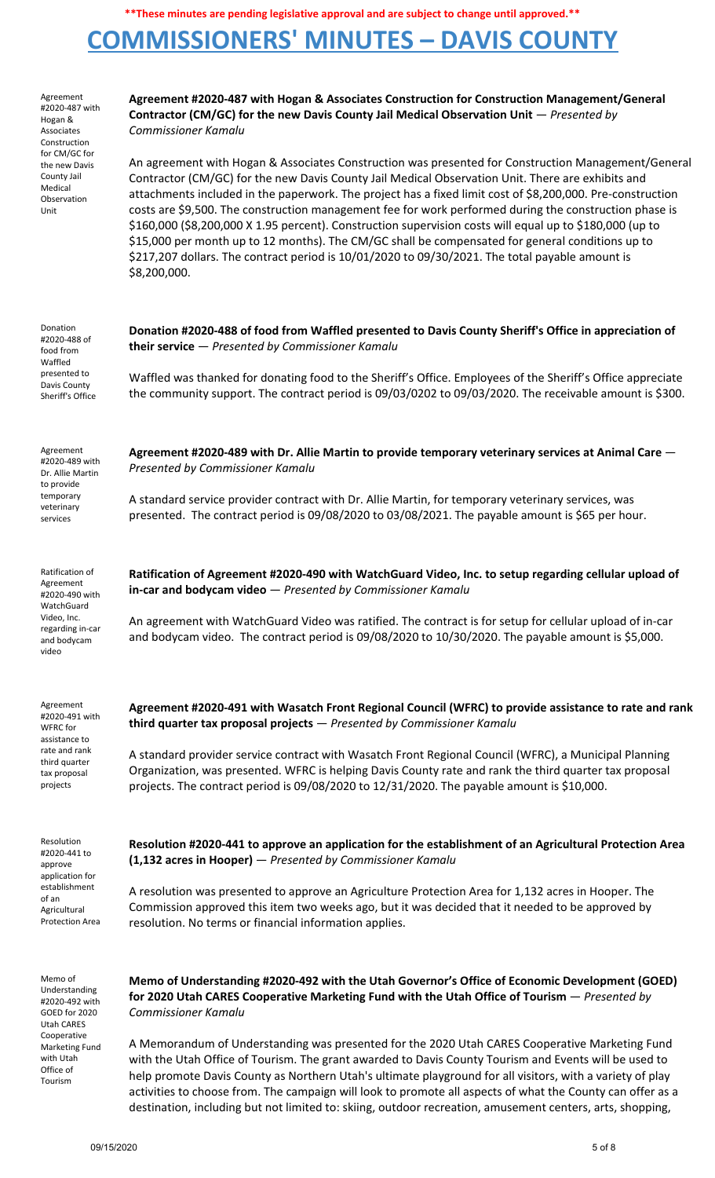# **COMMISSIONERS' MINUTES – DAVIS COUNTY**

| Agreement<br>#2020-487 with<br>Hogan &<br>Associates<br>Construction<br>for CM/GC for<br>the new Davis<br>County Jail<br>Medical<br>Observation<br>Unit | Agreement #2020-487 with Hogan & Associates Construction for Construction Management/General<br>Contractor (CM/GC) for the new Davis County Jail Medical Observation Unit $-$ Presented by<br><b>Commissioner Kamalu</b>                                                                                                                                                                                                                                                                                                                                                                                                                                                                                                                                            |
|---------------------------------------------------------------------------------------------------------------------------------------------------------|---------------------------------------------------------------------------------------------------------------------------------------------------------------------------------------------------------------------------------------------------------------------------------------------------------------------------------------------------------------------------------------------------------------------------------------------------------------------------------------------------------------------------------------------------------------------------------------------------------------------------------------------------------------------------------------------------------------------------------------------------------------------|
|                                                                                                                                                         | An agreement with Hogan & Associates Construction was presented for Construction Management/General<br>Contractor (CM/GC) for the new Davis County Jail Medical Observation Unit. There are exhibits and<br>attachments included in the paperwork. The project has a fixed limit cost of \$8,200,000. Pre-construction<br>costs are \$9,500. The construction management fee for work performed during the construction phase is<br>\$160,000 (\$8,200,000 X 1.95 percent). Construction supervision costs will equal up to \$180,000 (up to<br>\$15,000 per month up to 12 months). The CM/GC shall be compensated for general conditions up to<br>\$217,207 dollars. The contract period is 10/01/2020 to 09/30/2021. The total payable amount is<br>\$8,200,000. |
| Donation<br>#2020-488 of<br>food from<br>Waffled<br>presented to<br>Davis County<br>Sheriff's Office                                                    | Donation #2020-488 of food from Waffled presented to Davis County Sheriff's Office in appreciation of<br>their service $-$ Presented by Commissioner Kamalu                                                                                                                                                                                                                                                                                                                                                                                                                                                                                                                                                                                                         |
|                                                                                                                                                         | Waffled was thanked for donating food to the Sheriff's Office. Employees of the Sheriff's Office appreciate<br>the community support. The contract period is 09/03/0202 to 09/03/2020. The receivable amount is \$300.                                                                                                                                                                                                                                                                                                                                                                                                                                                                                                                                              |
| Agreement<br>#2020-489 with<br>Dr. Allie Martin                                                                                                         | Agreement #2020-489 with Dr. Allie Martin to provide temporary veterinary services at Animal Care $-$<br>Presented by Commissioner Kamalu                                                                                                                                                                                                                                                                                                                                                                                                                                                                                                                                                                                                                           |
| to provide<br>temporary<br>veterinary<br>services                                                                                                       | A standard service provider contract with Dr. Allie Martin, for temporary veterinary services, was<br>presented. The contract period is 09/08/2020 to 03/08/2021. The payable amount is \$65 per hour.                                                                                                                                                                                                                                                                                                                                                                                                                                                                                                                                                              |
| Ratification of<br>Agreement<br>#2020-490 with<br>WatchGuard<br>Video, Inc.<br>regarding in-car<br>and bodycam<br>video                                 | Ratification of Agreement #2020-490 with WatchGuard Video, Inc. to setup regarding cellular upload of<br>$in-car$ and bodycam video $-$ Presented by Commissioner Kamalu<br>An agreement with WatchGuard Video was ratified. The contract is for setup for cellular upload of in-car<br>and bodycam video. The contract period is 09/08/2020 to 10/30/2020. The payable amount is \$5,000.                                                                                                                                                                                                                                                                                                                                                                          |
| Agreement<br>#2020-491 with<br>WFRC for<br>assistance to<br>rate and rank<br>third quarter<br>tax proposal<br>projects                                  | Agreement #2020-491 with Wasatch Front Regional Council (WFRC) to provide assistance to rate and rank<br>third quarter tax proposal projects $-$ Presented by Commissioner Kamalu                                                                                                                                                                                                                                                                                                                                                                                                                                                                                                                                                                                   |
|                                                                                                                                                         | A standard provider service contract with Wasatch Front Regional Council (WFRC), a Municipal Planning<br>Organization, was presented. WFRC is helping Davis County rate and rank the third quarter tax proposal<br>projects. The contract period is 09/08/2020 to 12/31/2020. The payable amount is \$10,000.                                                                                                                                                                                                                                                                                                                                                                                                                                                       |
| Resolution<br>#2020-441 to<br>approve<br>application for<br>establishment<br>of an<br>Agricultural<br><b>Protection Area</b>                            | Resolution #2020-441 to approve an application for the establishment of an Agricultural Protection Area<br>(1,132 acres in Hooper) - Presented by Commissioner Kamalu                                                                                                                                                                                                                                                                                                                                                                                                                                                                                                                                                                                               |
|                                                                                                                                                         | A resolution was presented to approve an Agriculture Protection Area for 1,132 acres in Hooper. The<br>Commission approved this item two weeks ago, but it was decided that it needed to be approved by<br>resolution. No terms or financial information applies.                                                                                                                                                                                                                                                                                                                                                                                                                                                                                                   |
| Memo of<br>Understanding<br>#2020-492 with<br>GOED for 2020<br><b>Utah CARES</b><br>Cooperative<br>Marketing Fund<br>with Utah<br>Office of<br>Tourism  | Memo of Understanding #2020-492 with the Utah Governor's Office of Economic Development (GOED)<br>for 2020 Utah CARES Cooperative Marketing Fund with the Utah Office of Tourism - Presented by<br><b>Commissioner Kamalu</b>                                                                                                                                                                                                                                                                                                                                                                                                                                                                                                                                       |
|                                                                                                                                                         | A Memorandum of Understanding was presented for the 2020 Utah CARES Cooperative Marketing Fund<br>with the Utah Office of Tourism. The grant awarded to Davis County Tourism and Events will be used to<br>help promote Davis County as Northern Utah's ultimate playground for all visitors, with a variety of play<br>activities to choose from. The campaign will look to promote all aspects of what the County can offer as a<br>destination, including but not limited to: skiing, outdoor recreation, amusement centers, arts, shopping,                                                                                                                                                                                                                     |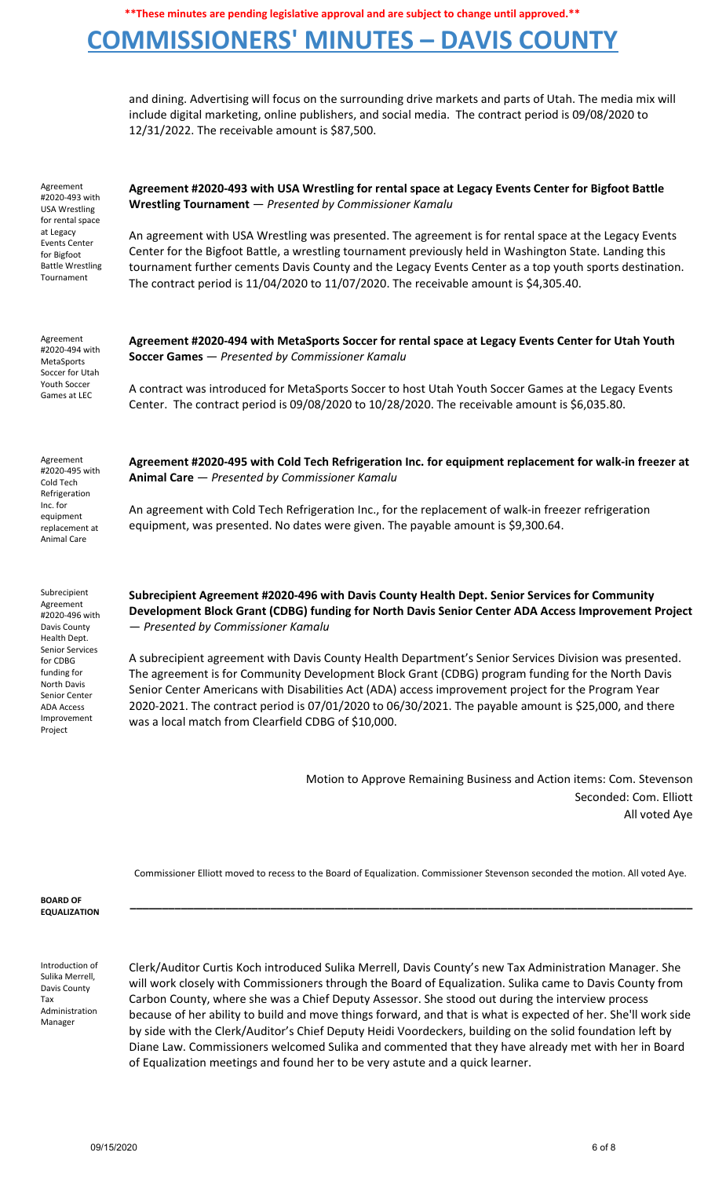## **COMMISSIONERS' MINUTES – DAVIS COUNTY**

and dining. Advertising will focus on the surrounding drive markets and parts of Utah. The media mix will include digital marketing, online publishers, and social media. The contract period is 09/08/2020 to 12/31/2022. The receivable amount is \$87,500.

Agreement #2020-493 with USA Wrestling for rental space at Legacy Events Center for Bigfoot Battle Wrestling Tournament

### **Agreement #2020-493 with USA Wrestling for rental space at Legacy Events Center for Bigfoot Battle Wrestling Tournament** — *Presented by Commissioner Kamalu*

An agreement with USA Wrestling was presented. The agreement is for rental space at the Legacy Events Center for the Bigfoot Battle, a wrestling tournament previously held in Washington State. Landing this tournament further cements Davis County and the Legacy Events Center as a top youth sports destination. The contract period is 11/04/2020 to 11/07/2020. The receivable amount is \$4,305.40.

Agreement #2020-494 with MetaSports Soccer for Utah Youth Soccer Games at LEC **Agreement #2020-494 with MetaSports Soccer for rental space at Legacy Events Center for Utah Youth Soccer Games** — *Presented by Commissioner Kamalu* A contract was introduced for MetaSports Soccer to host Utah Youth Soccer Games at the Legacy Events Center. The contract period is 09/08/2020 to 10/28/2020. The receivable amount is \$6,035.80.

Agreement #2020-495 with Cold Tech Refrigeration Inc. for equipment replacement at Animal Care

Subrecipient Agreement #2020-496 with Davis County Health Dept. Senior Services for CDBG funding for North Davis Senior Center ADA Access Improvement Project

**Agreement #2020-495 with Cold Tech Refrigeration Inc. for equipment replacement for walk-in freezer at Animal Care** — *Presented by Commissioner Kamalu*

An agreement with Cold Tech Refrigeration Inc., for the replacement of walk-in freezer refrigeration equipment, was presented. No dates were given. The payable amount is \$9,300.64.

**Subrecipient Agreement #2020-496 with Davis County Health Dept. Senior Services for Community Development Block Grant (CDBG) funding for North Davis Senior Center ADA Access Improvement Project** — *Presented by Commissioner Kamalu*

A subrecipient agreement with Davis County Health Department's Senior Services Division was presented. The agreement is for Community Development Block Grant (CDBG) program funding for the North Davis Senior Center Americans with Disabilities Act (ADA) access improvement project for the Program Year 2020-2021. The contract period is 07/01/2020 to 06/30/2021. The payable amount is \$25,000, and there was a local match from Clearfield CDBG of \$10,000.

> Motion to Approve Remaining Business and Action items: Com. Stevenson Seconded: Com. Elliott All voted Aye

Commissioner Elliott moved to recess to the Board of Equalization. Commissioner Stevenson seconded the motion. All voted Aye.

**\_\_\_\_\_\_\_\_\_\_\_\_\_\_\_\_\_\_\_\_\_\_\_\_\_\_\_\_\_\_\_\_\_\_\_\_\_\_\_\_\_\_\_\_\_\_\_\_\_\_\_\_\_\_\_\_\_\_\_\_\_\_\_\_\_\_\_\_\_\_\_\_\_\_\_\_\_\_\_\_\_\_\_\_\_\_\_\_**

**BOARD OF EQUALIZATION**

Introduction of Sulika Merrell, Davis County Tax Administration Manager

Clerk/Auditor Curtis Koch introduced Sulika Merrell, Davis County's new Tax Administration Manager. She will work closely with Commissioners through the Board of Equalization. Sulika came to Davis County from Carbon County, where she was a Chief Deputy Assessor. She stood out during the interview process because of her ability to build and move things forward, and that is what is expected of her. She'll work side by side with the Clerk/Auditor's Chief Deputy Heidi Voordeckers, building on the solid foundation left by Diane Law. Commissioners welcomed Sulika and commented that they have already met with her in Board of Equalization meetings and found her to be very astute and a quick learner.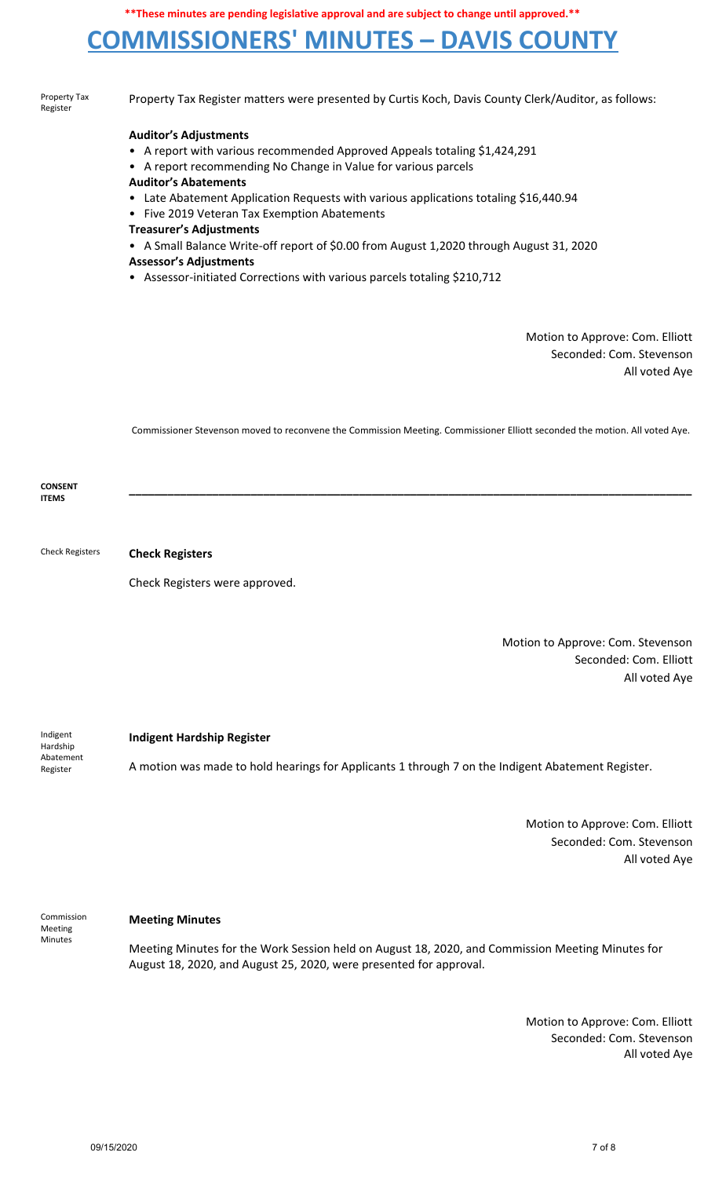# **COMMISSIONERS' MINUTES – DAVIS COUNTY**

| Property Tax<br>Register       | Property Tax Register matters were presented by Curtis Koch, Davis County Clerk/Auditor, as follows:                                                                                                                                                                                                                                                                                                                                                                                                                                                                                         |
|--------------------------------|----------------------------------------------------------------------------------------------------------------------------------------------------------------------------------------------------------------------------------------------------------------------------------------------------------------------------------------------------------------------------------------------------------------------------------------------------------------------------------------------------------------------------------------------------------------------------------------------|
|                                | <b>Auditor's Adjustments</b><br>• A report with various recommended Approved Appeals totaling \$1,424,291<br>• A report recommending No Change in Value for various parcels<br><b>Auditor's Abatements</b><br>• Late Abatement Application Requests with various applications totaling \$16,440.94<br>• Five 2019 Veteran Tax Exemption Abatements<br><b>Treasurer's Adjustments</b><br>• A Small Balance Write-off report of \$0.00 from August 1,2020 through August 31, 2020<br><b>Assessor's Adjustments</b><br>• Assessor-initiated Corrections with various parcels totaling \$210,712 |
|                                | Motion to Approve: Com. Elliott<br>Seconded: Com. Stevenson<br>All voted Aye                                                                                                                                                                                                                                                                                                                                                                                                                                                                                                                 |
|                                | Commissioner Stevenson moved to reconvene the Commission Meeting. Commissioner Elliott seconded the motion. All voted Aye.                                                                                                                                                                                                                                                                                                                                                                                                                                                                   |
| <b>CONSENT</b><br><b>ITEMS</b> |                                                                                                                                                                                                                                                                                                                                                                                                                                                                                                                                                                                              |
| <b>Check Registers</b>         | <b>Check Registers</b>                                                                                                                                                                                                                                                                                                                                                                                                                                                                                                                                                                       |
|                                | Check Registers were approved.                                                                                                                                                                                                                                                                                                                                                                                                                                                                                                                                                               |
|                                | Motion to Approve: Com. Stevenson                                                                                                                                                                                                                                                                                                                                                                                                                                                                                                                                                            |

Seconded: Com. Elliott All voted Aye

Indigent Hardship Abatement Register

## **Indigent Hardship Register**

A motion was made to hold hearings for Applicants 1 through 7 on the Indigent Abatement Register.

Motion to Approve: Com. Elliott Seconded: Com. Stevenson All voted Aye

Commission Meeting Minutes

### **Meeting Minutes**

Meeting Minutes for the Work Session held on August 18, 2020, and Commission Meeting Minutes for August 18, 2020, and August 25, 2020, were presented for approval.

> Motion to Approve: Com. Elliott Seconded: Com. Stevenson All voted Aye